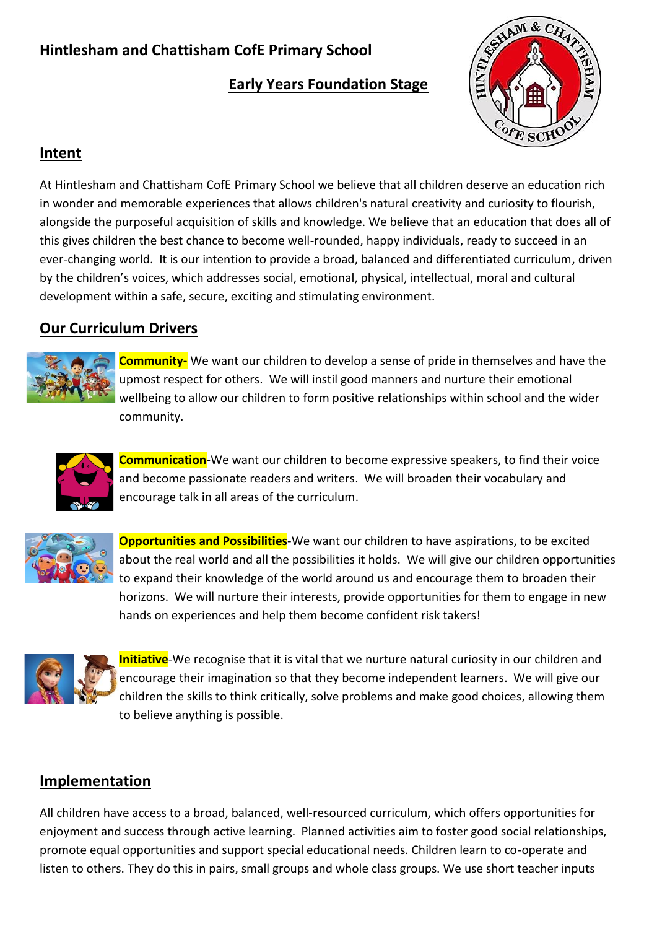# **Hintlesham and Chattisham CofE Primary School**

## **Early Years Foundation Stage**



#### **Intent**

At Hintlesham and Chattisham CofE Primary School we believe that all children deserve an education rich in wonder and memorable experiences that allows children's natural creativity and curiosity to flourish, alongside the purposeful acquisition of skills and knowledge. We believe that an education that does all of this gives children the best chance to become well-rounded, happy individuals, ready to succeed in an ever-changing world. It is our intention to provide a broad, balanced and differentiated curriculum, driven by the children's voices, which addresses social, emotional, physical, intellectual, moral and cultural development within a safe, secure, exciting and stimulating environment.

### **Our Curriculum Drivers**



**Community-** We want our children to develop a sense of pride in themselves and have the upmost respect for others. We will instil good manners and nurture their emotional wellbeing to allow our children to form positive relationships within school and the wider community.



**Communication**-We want our children to become expressive speakers, to find their voice and become passionate readers and writers. We will broaden their vocabulary and encourage talk in all areas of the curriculum.



**Opportunities and Possibilities**-We want our children to have aspirations, to be excited about the real world and all the possibilities it holds. We will give our children opportunities to expand their knowledge of the world around us and encourage them to broaden their horizons. We will nurture their interests, provide opportunities for them to engage in new hands on experiences and help them become confident risk takers!



**Initiative**-We recognise that it is vital that we nurture natural curiosity in our children and encourage their imagination so that they become independent learners. We will give our children the skills to think critically, solve problems and make good choices, allowing them to believe anything is possible.

### **Implementation**

All children have access to a broad, balanced, well-resourced curriculum, which offers opportunities for enjoyment and success through active learning. Planned activities aim to foster good social relationships, promote equal opportunities and support special educational needs. Children learn to co-operate and listen to others. They do this in pairs, small groups and whole class groups. We use short teacher inputs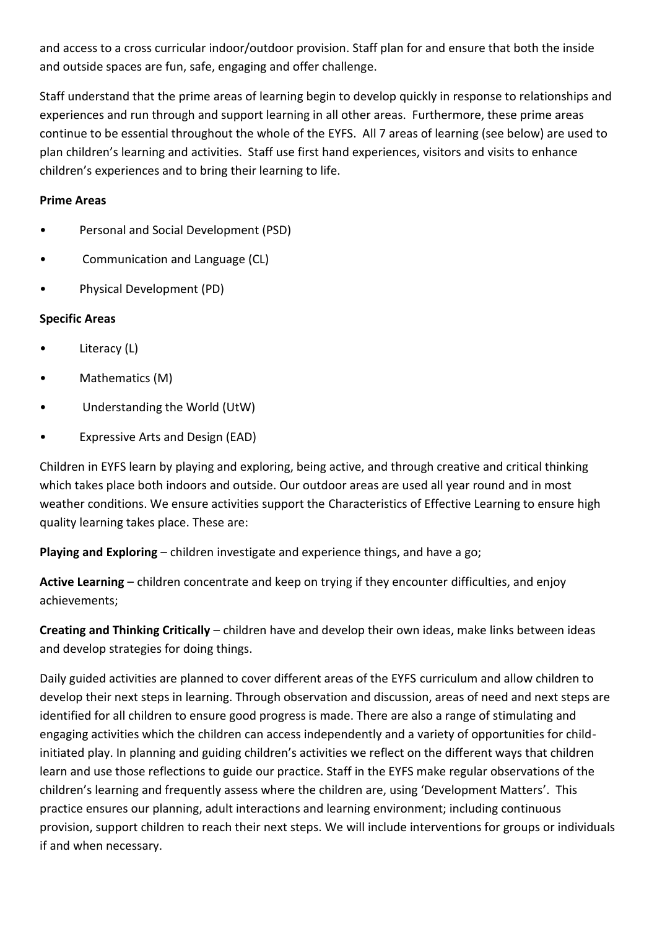and access to a cross curricular indoor/outdoor provision. Staff plan for and ensure that both the inside and outside spaces are fun, safe, engaging and offer challenge.

Staff understand that the prime areas of learning begin to develop quickly in response to relationships and experiences and run through and support learning in all other areas. Furthermore, these prime areas continue to be essential throughout the whole of the EYFS. All 7 areas of learning (see below) are used to plan children's learning and activities. Staff use first hand experiences, visitors and visits to enhance children's experiences and to bring their learning to life.

#### **Prime Areas**

- Personal and Social Development (PSD)
- Communication and Language (CL)
- Physical Development (PD)

#### **Specific Areas**

- Literacy (L)
- Mathematics (M)
- Understanding the World (UtW)
- Expressive Arts and Design (EAD)

Children in EYFS learn by playing and exploring, being active, and through creative and critical thinking which takes place both indoors and outside. Our outdoor areas are used all year round and in most weather conditions. We ensure activities support the Characteristics of Effective Learning to ensure high quality learning takes place. These are:

**Playing and Exploring** – children investigate and experience things, and have a go;

**Active Learning** – children concentrate and keep on trying if they encounter difficulties, and enjoy achievements;

**Creating and Thinking Critically** – children have and develop their own ideas, make links between ideas and develop strategies for doing things.

Daily guided activities are planned to cover different areas of the EYFS curriculum and allow children to develop their next steps in learning. Through observation and discussion, areas of need and next steps are identified for all children to ensure good progress is made. There are also a range of stimulating and engaging activities which the children can access independently and a variety of opportunities for childinitiated play. In planning and guiding children's activities we reflect on the different ways that children learn and use those reflections to guide our practice. Staff in the EYFS make regular observations of the children's learning and frequently assess where the children are, using 'Development Matters'. This practice ensures our planning, adult interactions and learning environment; including continuous provision, support children to reach their next steps. We will include interventions for groups or individuals if and when necessary.